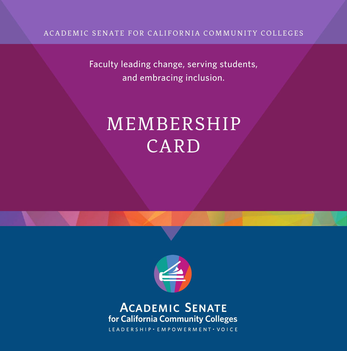#### ACADEMIC SENATE FOR CALIFORNIA COMMUNITY COLLEGES

Faculty leading change, serving students, and embracing inclusion.

# MEMBERSHIP CARD



**ACADEMIC SENATE** for California Community Colleges

LEADERSHIP · EMPOWERMENT · VOICE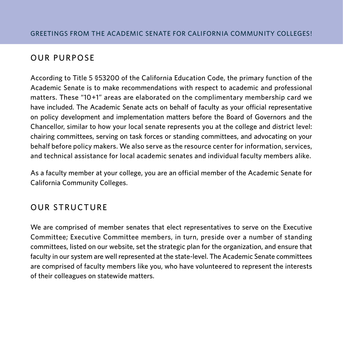# OUR PURPOSE

According to Title 5 §53200 of the California Education Code, the primary function of the Academic Senate is to make recommendations with respect to academic and professional matters. These "10+1" areas are elaborated on the complimentary membership card we have included. The Academic Senate acts on behalf of faculty as your official representative on policy development and implementation matters before the Board of Governors and the Chancellor, similar to how your local senate represents you at the college and district level: chairing committees, serving on task forces or standing committees, and advocating on your behalf before policy makers. We also serve as the resource center for information, services, and technical assistance for local academic senates and individual faculty members alike.

As a faculty member at your college, you are an official member of the Academic Senate for California Community Colleges.

# OUR STRUCTURE

We are comprised of member senates that elect representatives to serve on the Executive Committee; Executive Committee members, in turn, preside over a number of standing committees, listed on our website, set the strategic plan for the organization, and ensure that faculty in our system are well represented at the state-level. The Academic Senate committees are comprised of faculty members like you, who have volunteered to represent the interests of their colleagues on statewide matters.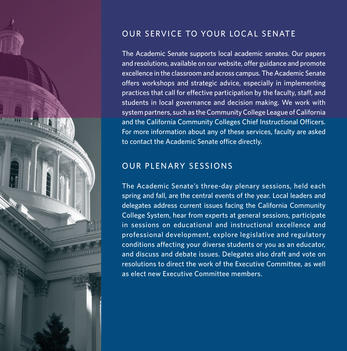

# OUR SERVICE TO YOUR LOCAL SENATE

The Academic Senate supports local academic senates. Our papers and resolutions, available on our website, offer guidance and promote excellence in the classroom and across campus. The Academic Senate offers workshops and strategic advice, especially in implementing practices that call for effective participation by the faculty, staff, and students in local governance and decision making. We work with system partners, such as the Community College League of California and the California Community Colleges Chief Instructional Officers. For more information about any of these services, faculty are asked to contact the Academic Senate office directly.

## OUR PLENARY SESSIONS

The Academic Senate's three-day plenary sessions, held each spring and fall, are the central events of the year. Local leaders and delegates address current issues facing the California Community College System, hear from experts at general sessions, participate in sessions on educational and instructional excellence and professional development, explore legislative and regulatory conditions affecting your diverse students or you as an educator, and discuss and debate issues. Delegates also draft and vote on resolutions to direct the work of the Executive Committee, as well as elect new Executive Committee members.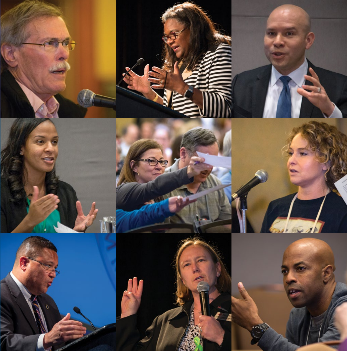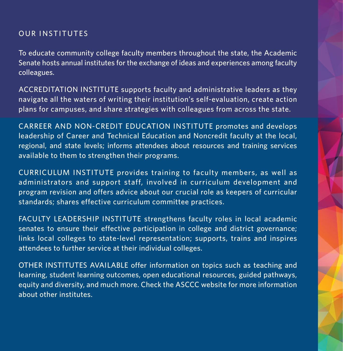#### OUR INSTITUTES

To educate community college faculty members throughout the state, the Academic Senate hosts annual institutes for the exchange of ideas and experiences among faculty colleagues.

ACCREDITATION INSTITUTE supports faculty and administrative leaders as they navigate all the waters of writing their institution's self-evaluation, create action plans for campuses, and share strategies with colleagues from across the state.

CARREER AND NON-CREDIT EDUCATION INSTITUTE promotes and develops leadership of Career and Technical Education and Noncredit faculty at the local, regional, and state levels; informs attendees about resources and training services available to them to strengthen their programs.

CURRICULUM INSTITUTE provides training to faculty members, as well as administrators and support staff, involved in curriculum development and program revision and offers advice about our crucial role as keepers of curricular standards; shares effective curriculum committee practices.

FACULTY LEADERSHIP INSTITUTE strengthens faculty roles in local academic senates to ensure their effective participation in college and district governance; links local colleges to state-level representation; supports, trains and inspires attendees to further service at their individual colleges.

OTHER INSTITUTES AVAILABLE offer information on topics such as teaching and learning, student learning outcomes, open educational resources, guided pathways, equity and diversity, and much more. Check the ASCCC website for more information about other institutes.